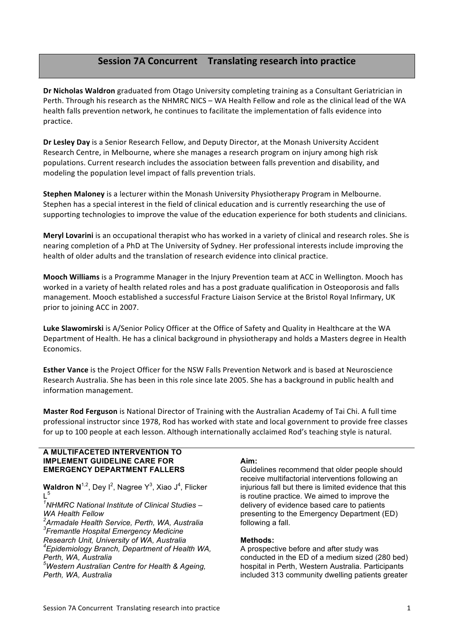# **Session'7A'Concurrent Translating'research'into'practice**

Dr Nicholas Waldron graduated from Otago University completing training as a Consultant Geriatrician in Perth. Through his research as the NHMRC NICS – WA Health Fellow and role as the clinical lead of the WA health'falls prevention network, he continues to facilitate the implementation of falls evidence into practice.

**Dr Lesley Day** is a Senior Research Fellow, and Deputy Director, at the Monash University Accident Research Centre, in Melbourne, where she manages a research program on injury among high risk populations. Current research includes the association between falls prevention and disability, and modeling the population level impact of falls prevention trials.

**Stephen Maloney** is a lecturer within the Monash University Physiotherapy Program in Melbourne. Stephen has a special interest in the field of clinical education and is currently researching the use of supporting technologies to improve the value of the education experience for both students and clinicians.

**Meryl Lovarini** is an occupational therapist who has worked in a variety of clinical and research roles. She is nearing completion of a PhD at The University of Sydney. Her professional interests include improving the health of older adults and the translation of research evidence into clinical practice.

**Mooch Williams** is a Programme Manager in the Injury Prevention team at ACC in Wellington. Mooch has worked in a variety of health related roles and has a post graduate qualification in Osteoporosis and falls management. Mooch established a successful Fracture Liaison Service at the Bristol Royal Infirmary, UK prior to joining ACC in 2007.

Luke Slawomirski is A/Senior Policy Officer at the Office of Safety and Quality in Healthcare at the WA Department of Health. He has a clinical background in physiotherapy and holds a Masters degree in Health' Economics.

**Esther Vance** is the Project Officer for the NSW Falls Prevention Network and is based at Neuroscience Research Australia. She has been in this role since late 2005. She has a background in public health and information management.

Master Rod Ferguson is National Director of Training with the Australian Academy of Tai Chi. A full time professional instructor since 1978. Rod has worked with state and local government to provide free classes for up to 100 people at each lesson. Although internationally acclaimed Rod's teaching style is natural.

### **A MULTIFACETED INTERVENTION TO IMPLEMENT GUIDELINE CARE FOR EMERGENCY DEPARTMENT FALLERS**

**Waldron N**<sup>1,2</sup>, Dey I<sup>2</sup>, Nagree Y<sup>3</sup>, Xiao J<sup>4</sup>, Flicker  $l<sup>5</sup>$ 

*1 NHMRC National Institute of Clinical Studies – WA Health Fellow*

 *Armadale Health Service, Perth, WA, Australia Fremantle Hospital Emergency Medicine Research Unit, University of WA, Australia Epidemiology Branch, Department of Health WA,* 

*Perth, WA, Australia 5 Western Australian Centre for Health & Ageing,* 

*Perth, WA, Australia*

# **Aim:**

Guidelines recommend that older people should receive multifactorial interventions following an injurious fall but there is limited evidence that this is routine practice. We aimed to improve the delivery of evidence based care to patients presenting to the Emergency Department (ED) following a fall.

# **Methods:**

A prospective before and after study was conducted in the ED of a medium sized (280 bed) hospital in Perth, Western Australia. Participants included 313 community dwelling patients greater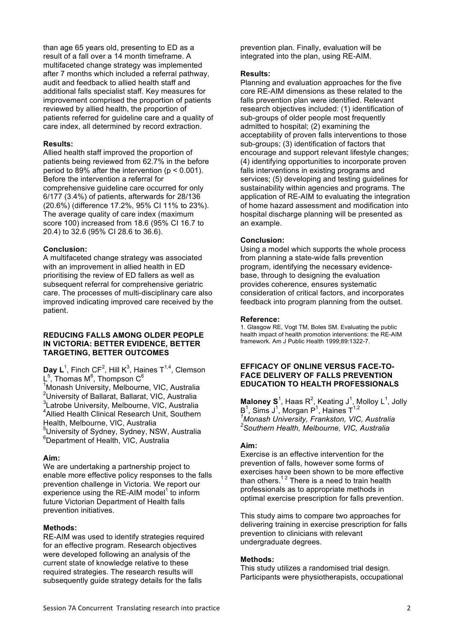than age 65 years old, presenting to ED as a result of a fall over a 14 month timeframe. A multifaceted change strategy was implemented after 7 months which included a referral pathway, audit and feedback to allied health staff and additional falls specialist staff. Key measures for improvement comprised the proportion of patients reviewed by allied health, the proportion of patients referred for guideline care and a quality of care index, all determined by record extraction.

### **Results:**

Allied health staff improved the proportion of patients being reviewed from 62.7% in the before period to 89% after the intervention ( $p < 0.001$ ). Before the intervention a referral for comprehensive guideline care occurred for only 6/177 (3.4%) of patients, afterwards for 28/136 (20.6%) (difference 17.2%, 95% CI 11% to 23%). The average quality of care index (maximum score 100) increased from 18.6 (95% CI 16.7 to 20.4) to 32.6 (95% CI 28.6 to 36.6).

#### **Conclusion:**

A multifaceted change strategy was associated with an improvement in allied health in ED prioritising the review of ED fallers as well as subsequent referral for comprehensive geriatric care. The processes of multi-disciplinary care also improved indicating improved care received by the patient.

### **REDUCING FALLS AMONG OLDER PEOPLE IN VICTORIA: BETTER EVIDENCE, BETTER TARGETING, BETTER OUTCOMES**

Day  $L^1$ , Finch CF<sup>2</sup>, Hill K<sup>3</sup>, Haines T<sup>1,4</sup>, Clemson L $^5$ , Thomas M $^6$ , Thompson C $^6$ 

1 Monash University, Melbourne, VIC, Australia <sup>2</sup>University of Ballarat, Ballarat, VIC, Australia 3 Latrobe University, Melbourne, VIC, Australia 4 Allied Health Clinical Research Unit, Southern Health, Melbourne, VIC, Australia <sup>5</sup>University of Sydney, Sydney, NSW, Australia

6 Department of Health, VIC, Australia

### **Aim:**

We are undertaking a partnership project to enable more effective policy responses to the falls prevention challenge in Victoria. We report our experience using the RE-AIM model<sup>1</sup> to inform future Victorian Department of Health falls prevention initiatives.

### **Methods:**

RE-AIM was used to identify strategies required for an effective program. Research objectives were developed following an analysis of the current state of knowledge relative to these required strategies. The research results will subsequently guide strategy details for the falls

prevention plan. Finally, evaluation will be integrated into the plan, using RE-AIM.

### **Results:**

Planning and evaluation approaches for the five core RE-AIM dimensions as these related to the falls prevention plan were identified. Relevant research objectives included: (1) identification of sub-groups of older people most frequently admitted to hospital; (2) examining the acceptability of proven falls interventions to those sub-groups; (3) identification of factors that encourage and support relevant lifestyle changes; (4) identifying opportunities to incorporate proven falls interventions in existing programs and services; (5) developing and testing guidelines for sustainability within agencies and programs. The application of RE-AIM to evaluating the integration of home hazard assessment and modification into hospital discharge planning will be presented as an example.

### **Conclusion:**

Using a model which supports the whole process from planning a state-wide falls prevention program, identifying the necessary evidencebase, through to designing the evaluation provides coherence, ensures systematic consideration of critical factors, and incorporates feedback into program planning from the outset.

#### **Reference:**

1. Glasgow RE, Vogt TM, Boles SM. Evaluating the public health impact of health promotion interventions: the RE-AIM framework. Am J Public Health 1999;89:1322-7.

### **EFFICACY OF ONLINE VERSUS FACE-TO-FACE DELIVERY OF FALLS PREVENTION EDUCATION TO HEALTH PROFESSIONALS**

**Maloney S**<sup>1</sup>, Haas R<sup>2</sup>, Keating J<sup>1</sup>, Molloy L<sup>1</sup>, Jolly B<sup>1</sup>, Sims J<sup>1</sup>, Morgan P<sup>1</sup>, Haines T<sup>1,2</sup> *1 Monash University, Frankston, VIC, Australia 2 Southern Health, Melbourne, VIC, Australia*

### **Aim:**

Exercise is an effective intervention for the prevention of falls, however some forms of exercises have been shown to be more effective than others.<sup>12</sup> There is a need to train health professionals as to appropriate methods in optimal exercise prescription for falls prevention.

This study aims to compare two approaches for delivering training in exercise prescription for falls prevention to clinicians with relevant undergraduate degrees.

### **Methods:**

This study utilizes a randomised trial design. Participants were physiotherapists, occupational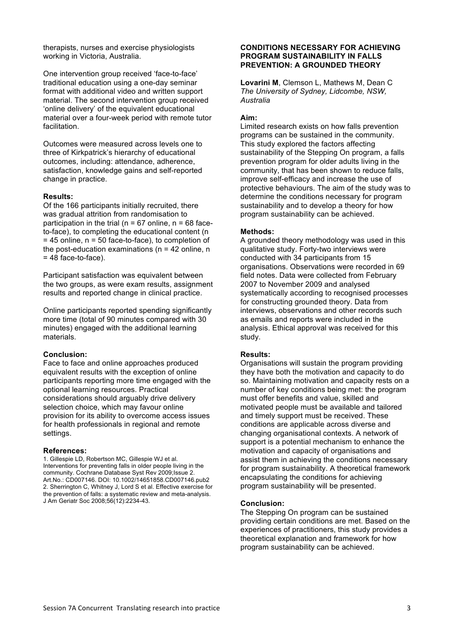therapists, nurses and exercise physiologists working in Victoria, Australia.

One intervention group received 'face-to-face' traditional education using a one-day seminar format with additional video and written support material. The second intervention group received 'online delivery' of the equivalent educational material over a four-week period with remote tutor facilitation.

Outcomes were measured across levels one to three of Kirkpatrick's hierarchy of educational outcomes, including: attendance, adherence, satisfaction, knowledge gains and self-reported change in practice.

### **Results:**

Of the 166 participants initially recruited, there was gradual attrition from randomisation to participation in the trial ( $n = 67$  online,  $n = 68$  faceto-face), to completing the educational content (n  $= 45$  online,  $n = 50$  face-to-face), to completion of the post-education examinations ( $n = 42$  online,  $n = 1$ )  $= 48$  face-to-face).

Participant satisfaction was equivalent between the two groups, as were exam results, assignment results and reported change in clinical practice.

Online participants reported spending significantly more time (total of 90 minutes compared with 30 minutes) engaged with the additional learning materials.

### **Conclusion:**

Face to face and online approaches produced equivalent results with the exception of online participants reporting more time engaged with the optional learning resources. Practical considerations should arguably drive delivery selection choice, which may favour online provision for its ability to overcome access issues for health professionals in regional and remote settings.

#### **References:**

1. Gillespie LD, Robertson MC, Gillespie WJ et al. Interventions for preventing falls in older people living in the community. Cochrane Database Syst Rev 2009;Issue 2. Art.No.: CD007146. DOI: 10.1002/14651858.CD007146.pub2 2. Sherrington C, Whitney J, Lord S et al. Effective exercise for the prevention of falls: a systematic review and meta-analysis. J Am Geriatr Soc 2008;56(12):2234-43.

### **CONDITIONS NECESSARY FOR ACHIEVING PROGRAM SUSTAINABILITY IN FALLS PREVENTION: A GROUNDED THEORY**

**Lovarini M**, Clemson L, Mathews M, Dean C *The University of Sydney, Lidcombe, NSW, Australia*

### **Aim:**

Limited research exists on how falls prevention programs can be sustained in the community. This study explored the factors affecting sustainability of the Stepping On program, a falls prevention program for older adults living in the community, that has been shown to reduce falls, improve self-efficacy and increase the use of protective behaviours. The aim of the study was to determine the conditions necessary for program sustainability and to develop a theory for how program sustainability can be achieved.

### **Methods:**

A grounded theory methodology was used in this qualitative study. Forty-two interviews were conducted with 34 participants from 15 organisations. Observations were recorded in 69 field notes. Data were collected from February 2007 to November 2009 and analysed systematically according to recognised processes for constructing grounded theory. Data from interviews, observations and other records such as emails and reports were included in the analysis. Ethical approval was received for this study.

#### **Results:**

Organisations will sustain the program providing they have both the motivation and capacity to do so. Maintaining motivation and capacity rests on a number of key conditions being met: the program must offer benefits and value, skilled and motivated people must be available and tailored and timely support must be received. These conditions are applicable across diverse and changing organisational contexts. A network of support is a potential mechanism to enhance the motivation and capacity of organisations and assist them in achieving the conditions necessary for program sustainability. A theoretical framework encapsulating the conditions for achieving program sustainability will be presented.

#### **Conclusion:**

The Stepping On program can be sustained providing certain conditions are met. Based on the experiences of practitioners, this study provides a theoretical explanation and framework for how program sustainability can be achieved.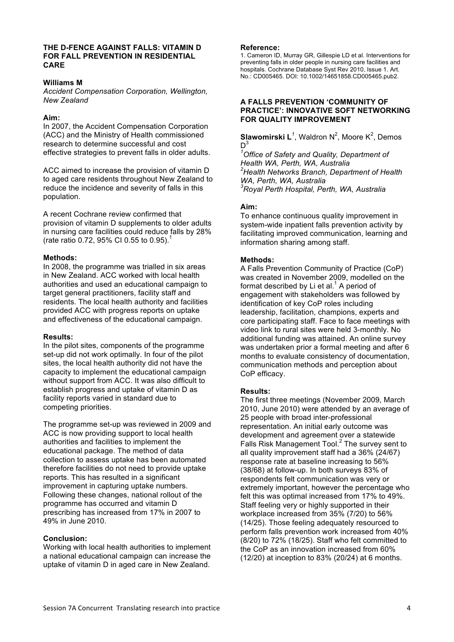### **THE D-FENCE AGAINST FALLS: VITAMIN D FOR FALL PREVENTION IN RESIDENTIAL CARE**

### **Williams M**

*Accident Compensation Corporation, Wellington, New Zealand*

### **Aim:**

In 2007, the Accident Compensation Corporation (ACC) and the Ministry of Health commissioned research to determine successful and cost effective strategies to prevent falls in older adults.

ACC aimed to increase the provision of vitamin D to aged care residents throughout New Zealand to reduce the incidence and severity of falls in this population.

A recent Cochrane review confirmed that provision of vitamin D supplements to older adults in nursing care facilities could reduce falls by 28% (rate ratio 0.72, 95% CI 0.55 to 0.95).<sup>1</sup>

### **Methods:**

In 2008, the programme was trialled in six areas in New Zealand. ACC worked with local health authorities and used an educational campaign to target general practitioners, facility staff and residents. The local health authority and facilities provided ACC with progress reports on uptake and effectiveness of the educational campaign.

### **Results:**

In the pilot sites, components of the programme set-up did not work optimally. In four of the pilot sites, the local health authority did not have the capacity to implement the educational campaign without support from ACC. It was also difficult to establish progress and uptake of vitamin D as facility reports varied in standard due to competing priorities.

The programme set-up was reviewed in 2009 and ACC is now providing support to local health authorities and facilities to implement the educational package. The method of data collection to assess uptake has been automated therefore facilities do not need to provide uptake reports. This has resulted in a significant improvement in capturing uptake numbers. Following these changes, national rollout of the programme has occurred and vitamin D prescribing has increased from 17% in 2007 to 49% in June 2010.

## **Conclusion:**

Working with local health authorities to implement a national educational campaign can increase the uptake of vitamin D in aged care in New Zealand.

### **Reference:**

1. Cameron ID, Murray GR, Gillespie LD et al. Interventions for preventing falls in older people in nursing care facilities and hospitals. Cochrane Database Syst Rev 2010, Issue 1. Art. No.: CD005465. DOI: 10.1002/14651858.CD005465.pub2.

# **A FALLS PREVENTION 'COMMUNITY OF PRACTICE': INNOVATIVE SOFT NETWORKING FOR QUALITY IMPROVEMENT**

**Slawomirski L<sup>1</sup>**, Waldron N<sup>2</sup>, Moore K<sup>2</sup>, Demos  $D^3$ 

*1 Office of Safety and Quality, Department of Health WA, Perth, WA, Australia 2 Health Networks Branch, Department of Health WA, Perth, WA, Australia 3 Royal Perth Hospital, Perth, WA, Australia*

### **Aim:**

To enhance continuous quality improvement in system-wide inpatient falls prevention activity by facilitating improved communication, learning and information sharing among staff.

# **Methods:**

A Falls Prevention Community of Practice (CoP) was created in November 2009, modelled on the format described by Li et al.<sup>1</sup> A period of engagement with stakeholders was followed by identification of key CoP roles including leadership, facilitation, champions, experts and core participating staff. Face to face meetings with video link to rural sites were held 3-monthly. No additional funding was attained. An online survey was undertaken prior a formal meeting and after 6 months to evaluate consistency of documentation, communication methods and perception about CoP efficacy.

# **Results:**

The first three meetings (November 2009, March 2010, June 2010) were attended by an average of 25 people with broad inter-professional representation. An initial early outcome was development and agreement over a statewide Falls Risk Management Tool.<sup>2</sup> The survey sent to all quality improvement staff had a 36% (24/67) response rate at baseline increasing to 56% (38/68) at follow-up. In both surveys 83% of respondents felt communication was very or extremely important, however the percentage who felt this was optimal increased from 17% to 49%. Staff feeling very or highly supported in their workplace increased from 35% (7/20) to 56% (14/25). Those feeling adequately resourced to perform falls prevention work increased from 40%  $(8/20)$  to  $72\%$  (18/25). Staff who felt committed to the CoP as an innovation increased from 60% (12/20) at inception to 83% (20/24) at 6 months.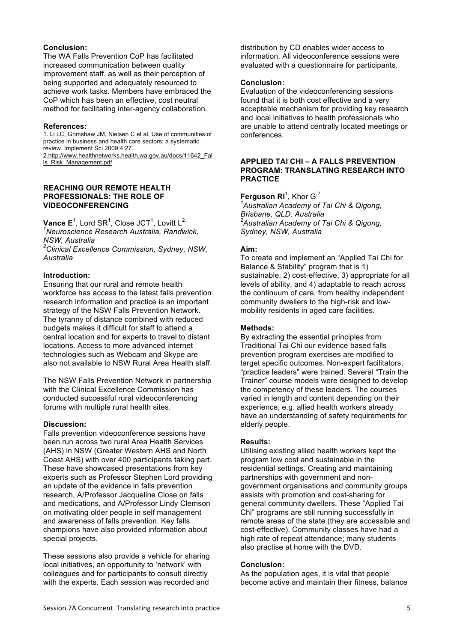### **Conclusion:**

The WA Falls Prevention CoP has facilitated increased communication between quality improvement staff, as well as their perception of being supported and adequately resourced to achieve work tasks. Members have embraced the CoP which has been an effective, cost neutral method for facilitating inter-agency collaboration.

### **References:**

1. Li LC, Grimshaw JM, Nielsen C et al. Use of communities of practice in business and health care sectors: a systematic review. Implement Sci 2009;4:27.

2.http://www.healthnetworks.health.wa.gov.au/docs/11642\_Fal ls\_Risk\_Management.pdf

## **REACHING OUR REMOTE HEALTH PROFESSIONALS: THE ROLE OF VIDEOCONFERENCING**

 $\mathsf{Vance}\ \mathsf{E}^1$ , Lord SR<sup>1</sup>, Close JCT<sup>1</sup>, Lovitt L<sup>2</sup> *1 Neuroscience Research Australia, Randwick, NSW, Australia*

*2 Clinical Excellence Commission, Sydney, NSW, Australia*

### **Introduction:**

Ensuring that our rural and remote health workforce has access to the latest falls prevention research information and practice is an important strategy of the NSW Falls Prevention Network. The tyranny of distance combined with reduced budgets makes it difficult for staff to attend a central location and for experts to travel to distant locations. Access to more advanced internet technologies such as Webcam and Skype are also not available to NSW Rural Area Health staff.

The NSW Falls Prevention Network in partnership with the Clinical Excellence Commission has conducted successful rural videoconferencing forums with multiple rural health sites.

### **Discussion:**

Falls prevention videoconference sessions have been run across two rural Area Health Services (AHS) in NSW (Greater Western AHS and North Coast AHS) with over 400 participants taking part. These have showcased presentations from key experts such as Professor Stephen Lord providing an update of the evidence in falls prevention research, A/Professor Jacqueline Close on falls and medications, and A/Professor Lindy Clemson on motivating older people in self management and awareness of falls prevention. Key falls champions have also provided information about special projects.

These sessions also provide a vehicle for sharing local initiatives, an opportunity to 'network' with colleagues and for participants to consult directly with the experts. Each session was recorded and

distribution by CD enables wider access to information. All videoconference sessions were evaluated with a questionnaire for participants.

### **Conclusion:**

Evaluation of the videoconferencing sessions found that it is both cost effective and a very acceptable mechanism for providing key research and local initiatives to health professionals who are unable to attend centrally located meetings or conferences.

### **APPLIED TAI CHI – A FALLS PREVENTION PROGRAM: TRANSLATING RESEARCH INTO PRACTICE**

**Ferguson RI**<sup>1</sup>, Khor G<sup>,2</sup>

*1 Australian Academy of Tai Chi & Qigong, Brisbane, QLD, Australia 2 Australian Academy of Tai Chi & Qigong, Sydney, NSW, Australia*

### **Aim:**

To create and implement an "Applied Tai Chi for Balance & Stability" program that is 1) sustainable, 2) cost-effective, 3) appropriate for all levels of ability, and 4) adaptable to reach across the continuum of care, from healthy independent community dwellers to the high-risk and lowmobility residents in aged care facilities.

### **Methods:**

By extracting the essential principles from Traditional Tai Chi our evidence based falls prevention program exercises are modified to target specific outcomes. Non-expert facilitators, "practice leaders" were trained. Several "Train the Trainer" course models were designed to develop the competency of these leaders. The courses varied in length and content depending on their experience, e.g. allied health workers already have an understanding of safety requirements for elderly people.

### **Results:**

Utilising existing allied health workers kept the program low cost and sustainable in the residential settings. Creating and maintaining partnerships with government and nongovernment organisations and community groups assists with promotion and cost-sharing for general community dwellers. These "Applied Tai Chi" programs are still running successfully in remote areas of the state (they are accessible and cost-effective). Community classes have had a high rate of repeat attendance; many students also practise at home with the DVD.

### **Conclusion:**

As the population ages, it is vital that people become active and maintain their fitness, balance